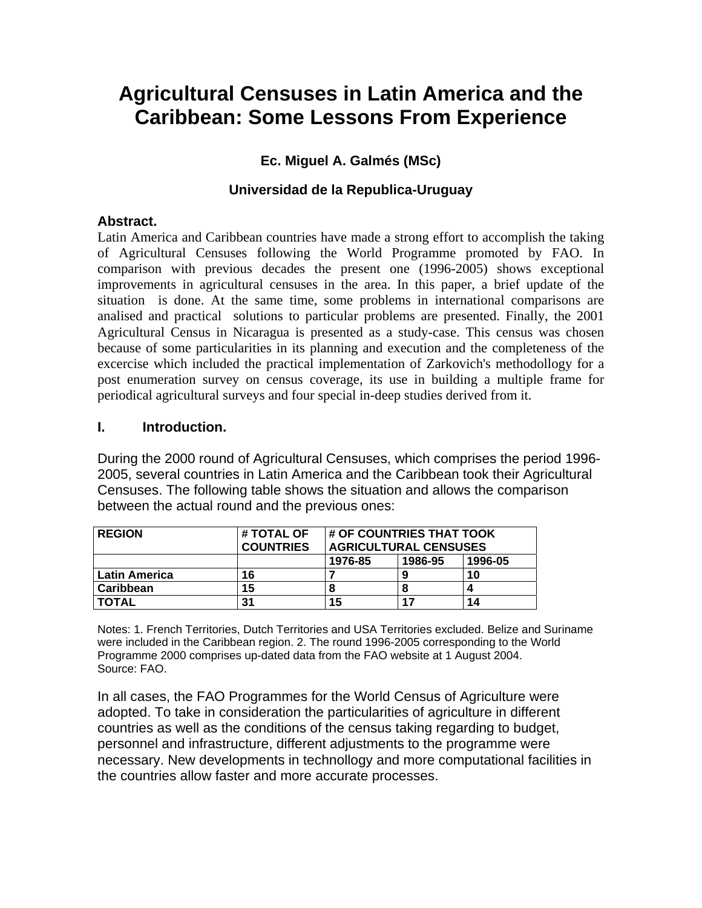# **Agricultural Censuses in Latin America and the Caribbean: Some Lessons From Experience**

# **Ec. Miguel A. Galmés (MSc)**

## **Universidad de la Republica-Uruguay**

#### **Abstract.**

Latin America and Caribbean countries have made a strong effort to accomplish the taking of Agricultural Censuses following the World Programme promoted by FAO. In comparison with previous decades the present one (1996-2005) shows exceptional improvements in agricultural censuses in the area. In this paper, a brief update of the situation is done. At the same time, some problems in international comparisons are analised and practical solutions to particular problems are presented. Finally, the 2001 Agricultural Census in Nicaragua is presented as a study-case. This census was chosen because of some particularities in its planning and execution and the completeness of the excercise which included the practical implementation of Zarkovich's methodollogy for a post enumeration survey on census coverage, its use in building a multiple frame for periodical agricultural surveys and four special in-deep studies derived from it.

#### **I. Introduction.**

During the 2000 round of Agricultural Censuses, which comprises the period 1996- 2005, several countries in Latin America and the Caribbean took their Agricultural Censuses. The following table shows the situation and allows the comparison between the actual round and the previous ones:

| <b>REGION</b>   | # TOTAL OF       | <b># OF COUNTRIES THAT TOOK</b> |         |         |
|-----------------|------------------|---------------------------------|---------|---------|
|                 | <b>COUNTRIES</b> | <b>AGRICULTURAL CENSUSES</b>    |         |         |
|                 |                  | 1976-85                         | 1986-95 | 1996-05 |
| l Latin America | 16               |                                 |         | 10      |
| l Caribbean     | 15               |                                 |         |         |
| <b>TOTAL</b>    | 31               | 15                              | 17      | 14      |

Notes: 1. French Territories, Dutch Territories and USA Territories excluded. Belize and Suriname were included in the Caribbean region. 2. The round 1996-2005 corresponding to the World Programme 2000 comprises up-dated data from the FAO website at 1 August 2004. Source: FAO.

In all cases, the FAO Programmes for the World Census of Agriculture were adopted. To take in consideration the particularities of agriculture in different countries as well as the conditions of the census taking regarding to budget, personnel and infrastructure, different adjustments to the programme were necessary. New developments in technollogy and more computational facilities in the countries allow faster and more accurate processes.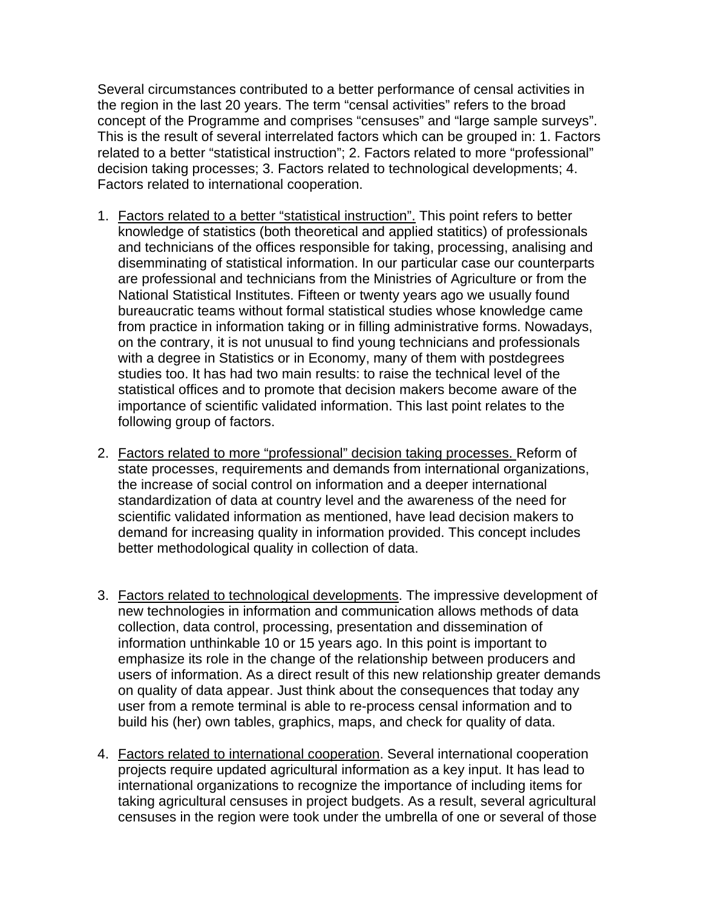Several circumstances contributed to a better performance of censal activities in the region in the last 20 years. The term "censal activities" refers to the broad concept of the Programme and comprises "censuses" and "large sample surveys". This is the result of several interrelated factors which can be grouped in: 1. Factors related to a better "statistical instruction"; 2. Factors related to more "professional" decision taking processes; 3. Factors related to technological developments; 4. Factors related to international cooperation.

- 1. Factors related to a better "statistical instruction". This point refers to better knowledge of statistics (both theoretical and applied statitics) of professionals and technicians of the offices responsible for taking, processing, analising and disemminating of statistical information. In our particular case our counterparts are professional and technicians from the Ministries of Agriculture or from the National Statistical Institutes. Fifteen or twenty years ago we usually found bureaucratic teams without formal statistical studies whose knowledge came from practice in information taking or in filling administrative forms. Nowadays, on the contrary, it is not unusual to find young technicians and professionals with a degree in Statistics or in Economy, many of them with postdegrees studies too. It has had two main results: to raise the technical level of the statistical offices and to promote that decision makers become aware of the importance of scientific validated information. This last point relates to the following group of factors.
- 2. Factors related to more "professional" decision taking processes. Reform of state processes, requirements and demands from international organizations, the increase of social control on information and a deeper international standardization of data at country level and the awareness of the need for scientific validated information as mentioned, have lead decision makers to demand for increasing quality in information provided. This concept includes better methodological quality in collection of data.
- 3. Factors related to technological developments. The impressive development of new technologies in information and communication allows methods of data collection, data control, processing, presentation and dissemination of information unthinkable 10 or 15 years ago. In this point is important to emphasize its role in the change of the relationship between producers and users of information. As a direct result of this new relationship greater demands on quality of data appear. Just think about the consequences that today any user from a remote terminal is able to re-process censal information and to build his (her) own tables, graphics, maps, and check for quality of data.
- 4. Factors related to international cooperation. Several international cooperation projects require updated agricultural information as a key input. It has lead to international organizations to recognize the importance of including items for taking agricultural censuses in project budgets. As a result, several agricultural censuses in the region were took under the umbrella of one or several of those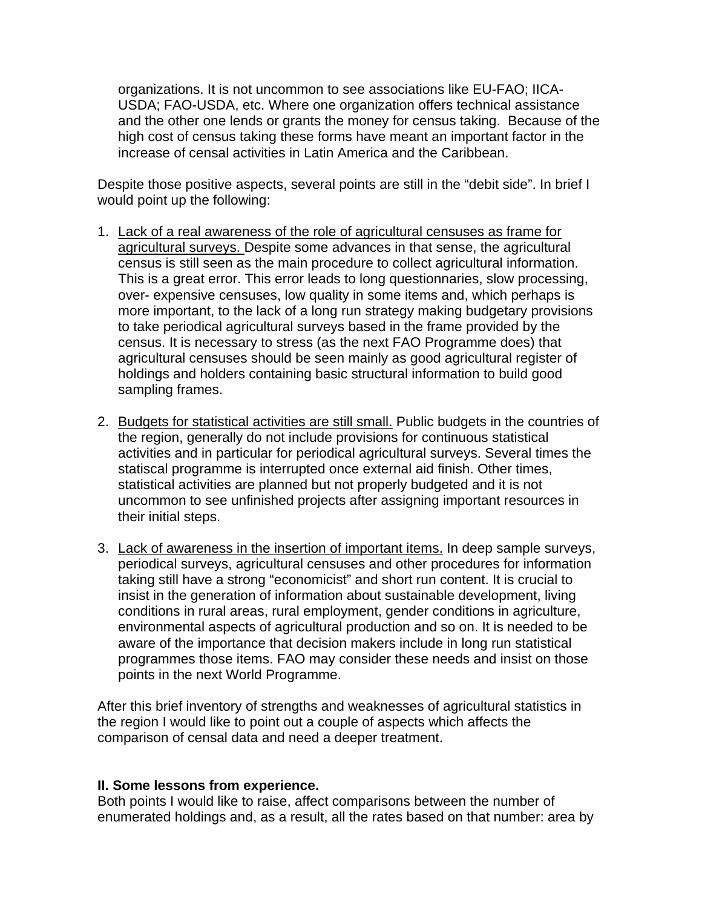organizations. It is not uncommon to see associations like EU-FAO; IICA-USDA; FAO-USDA, etc. Where one organization offers technical assistance and the other one lends or grants the money for census taking. Because of the high cost of census taking these forms have meant an important factor in the increase of censal activities in Latin America and the Caribbean.

Despite those positive aspects, several points are still in the "debit side". In brief I would point up the following:

- 1. Lack of a real awareness of the role of agricultural censuses as frame for agricultural surveys. Despite some advances in that sense, the agricultural census is still seen as the main procedure to collect agricultural information. This is a great error. This error leads to long questionnaries, slow processing, over- expensive censuses, low quality in some items and, which perhaps is more important, to the lack of a long run strategy making budgetary provisions to take periodical agricultural surveys based in the frame provided by the census. It is necessary to stress (as the next FAO Programme does) that agricultural censuses should be seen mainly as good agricultural register of holdings and holders containing basic structural information to build good sampling frames.
- 2. Budgets for statistical activities are still small. Public budgets in the countries of the region, generally do not include provisions for continuous statistical activities and in particular for periodical agricultural surveys. Several times the statiscal programme is interrupted once external aid finish. Other times, statistical activities are planned but not properly budgeted and it is not uncommon to see unfinished projects after assigning important resources in their initial steps.
- 3. Lack of awareness in the insertion of important items. In deep sample surveys, periodical surveys, agricultural censuses and other procedures for information taking still have a strong "economicist" and short run content. It is crucial to insist in the generation of information about sustainable development, living conditions in rural areas, rural employment, gender conditions in agriculture, environmental aspects of agricultural production and so on. It is needed to be aware of the importance that decision makers include in long run statistical programmes those items. FAO may consider these needs and insist on those points in the next World Programme.

After this brief inventory of strengths and weaknesses of agricultural statistics in the region I would like to point out a couple of aspects which affects the comparison of censal data and need a deeper treatment.

#### **II. Some lessons from experience.**

Both points I would like to raise, affect comparisons between the number of enumerated holdings and, as a result, all the rates based on that number: area by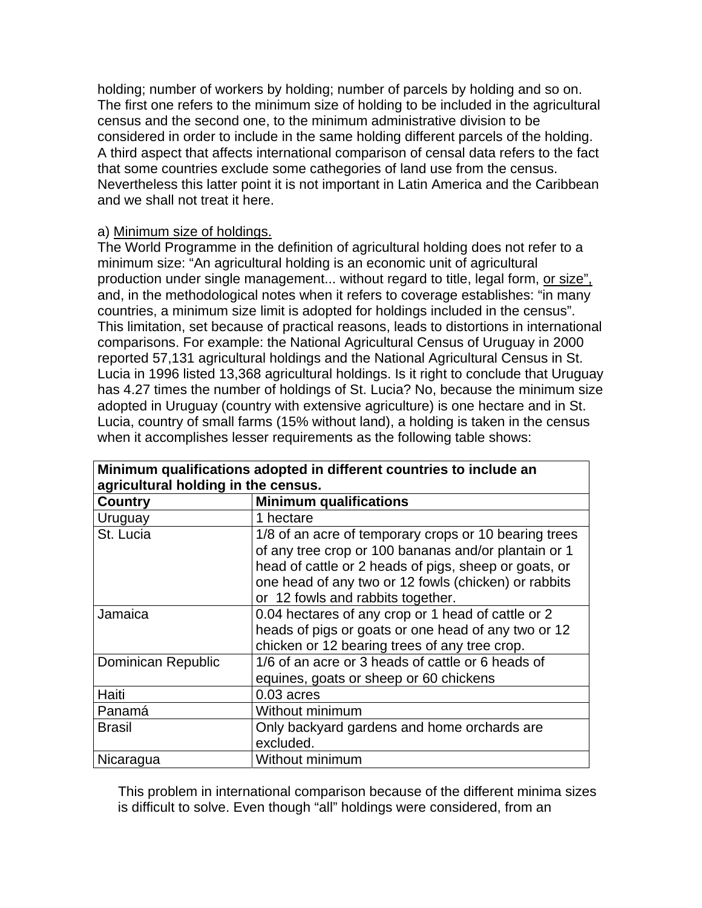holding; number of workers by holding; number of parcels by holding and so on. The first one refers to the minimum size of holding to be included in the agricultural census and the second one, to the minimum administrative division to be considered in order to include in the same holding different parcels of the holding. A third aspect that affects international comparison of censal data refers to the fact that some countries exclude some cathegories of land use from the census. Nevertheless this latter point it is not important in Latin America and the Caribbean and we shall not treat it here.

#### a) Minimum size of holdings.

The World Programme in the definition of agricultural holding does not refer to a minimum size: "An agricultural holding is an economic unit of agricultural production under single management... without regard to title, legal form, or size", and, in the methodological notes when it refers to coverage establishes: "in many countries, a minimum size limit is adopted for holdings included in the census". This limitation, set because of practical reasons, leads to distortions in international comparisons. For example: the National Agricultural Census of Uruguay in 2000 reported 57,131 agricultural holdings and the National Agricultural Census in St. Lucia in 1996 listed 13,368 agricultural holdings. Is it right to conclude that Uruguay has 4.27 times the number of holdings of St. Lucia? No, because the minimum size adopted in Uruguay (country with extensive agriculture) is one hectare and in St. Lucia, country of small farms (15% without land), a holding is taken in the census when it accomplishes lesser requirements as the following table shows:

| Minimum qualifications adopted in different countries to include an |                                                                                                                                                                                                                                                                     |  |  |
|---------------------------------------------------------------------|---------------------------------------------------------------------------------------------------------------------------------------------------------------------------------------------------------------------------------------------------------------------|--|--|
| agricultural holding in the census.                                 |                                                                                                                                                                                                                                                                     |  |  |
| <b>Country</b>                                                      | <b>Minimum qualifications</b>                                                                                                                                                                                                                                       |  |  |
| Uruguay                                                             | 1 hectare                                                                                                                                                                                                                                                           |  |  |
| St. Lucia                                                           | 1/8 of an acre of temporary crops or 10 bearing trees<br>of any tree crop or 100 bananas and/or plantain or 1<br>head of cattle or 2 heads of pigs, sheep or goats, or<br>one head of any two or 12 fowls (chicken) or rabbits<br>or 12 fowls and rabbits together. |  |  |
| Jamaica                                                             | 0.04 hectares of any crop or 1 head of cattle or 2<br>heads of pigs or goats or one head of any two or 12<br>chicken or 12 bearing trees of any tree crop.                                                                                                          |  |  |
| Dominican Republic                                                  | 1/6 of an acre or 3 heads of cattle or 6 heads of<br>equines, goats or sheep or 60 chickens                                                                                                                                                                         |  |  |
| Haiti                                                               | $0.03$ acres                                                                                                                                                                                                                                                        |  |  |
| Panamá                                                              | Without minimum                                                                                                                                                                                                                                                     |  |  |
| <b>Brasil</b>                                                       | Only backyard gardens and home orchards are<br>excluded.                                                                                                                                                                                                            |  |  |
| Nicaragua                                                           | Without minimum                                                                                                                                                                                                                                                     |  |  |

This problem in international comparison because of the different minima sizes is difficult to solve. Even though "all" holdings were considered, from an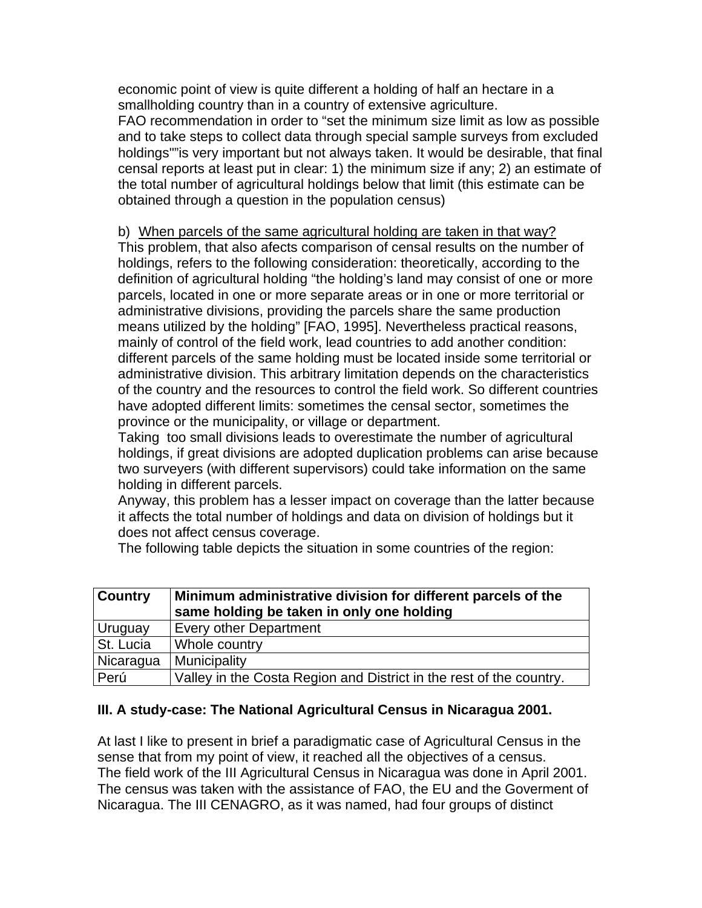economic point of view is quite different a holding of half an hectare in a smallholding country than in a country of extensive agriculture.

FAO recommendation in order to "set the minimum size limit as low as possible and to take steps to collect data through special sample surveys from excluded holdings""is very important but not always taken. It would be desirable, that final censal reports at least put in clear: 1) the minimum size if any; 2) an estimate of the total number of agricultural holdings below that limit (this estimate can be obtained through a question in the population census)

#### b) When parcels of the same agricultural holding are taken in that way?

This problem, that also afects comparison of censal results on the number of holdings, refers to the following consideration: theoretically, according to the definition of agricultural holding "the holding's land may consist of one or more parcels, located in one or more separate areas or in one or more territorial or administrative divisions, providing the parcels share the same production means utilized by the holding" [FAO, 1995]. Nevertheless practical reasons, mainly of control of the field work, lead countries to add another condition: different parcels of the same holding must be located inside some territorial or administrative division. This arbitrary limitation depends on the characteristics of the country and the resources to control the field work. So different countries have adopted different limits: sometimes the censal sector, sometimes the province or the municipality, or village or department.

Taking too small divisions leads to overestimate the number of agricultural holdings, if great divisions are adopted duplication problems can arise because two surveyers (with different supervisors) could take information on the same holding in different parcels.

Anyway, this problem has a lesser impact on coverage than the latter because it affects the total number of holdings and data on division of holdings but it does not affect census coverage.

The following table depicts the situation in some countries of the region:

| <b>Country</b> | Minimum administrative division for different parcels of the<br>same holding be taken in only one holding |
|----------------|-----------------------------------------------------------------------------------------------------------|
| Uruguay        | <b>Every other Department</b>                                                                             |
| St. Lucia      | Whole country                                                                                             |
| Nicaragua      | Municipality                                                                                              |
| Perú           | Valley in the Costa Region and District in the rest of the country.                                       |

#### **III. A study-case: The National Agricultural Census in Nicaragua 2001.**

At last I like to present in brief a paradigmatic case of Agricultural Census in the sense that from my point of view, it reached all the objectives of a census. The field work of the III Agricultural Census in Nicaragua was done in April 2001. The census was taken with the assistance of FAO, the EU and the Goverment of Nicaragua. The III CENAGRO, as it was named, had four groups of distinct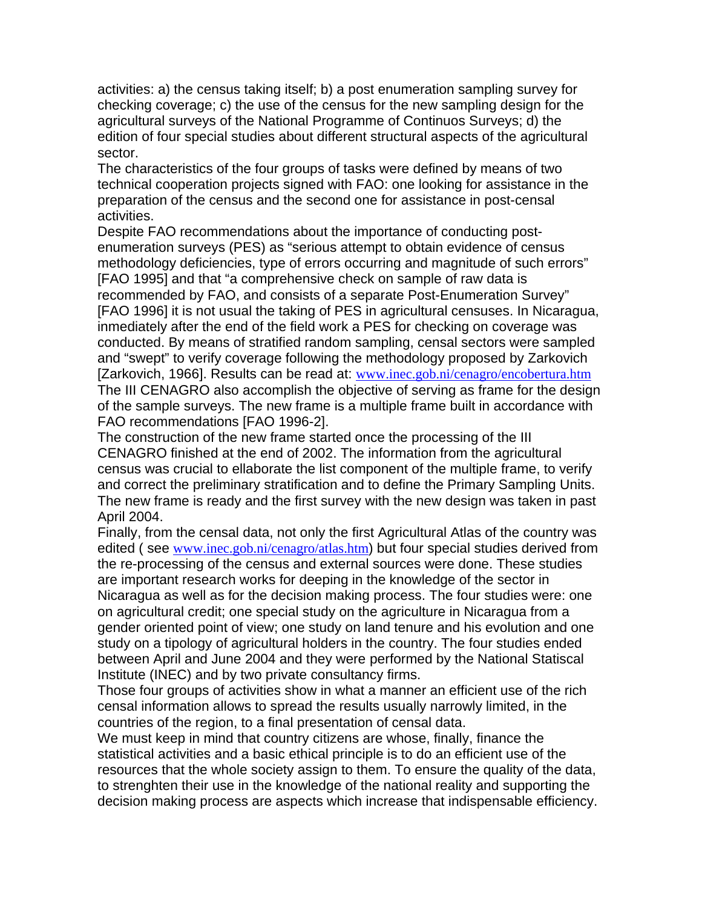activities: a) the census taking itself; b) a post enumeration sampling survey for checking coverage; c) the use of the census for the new sampling design for the agricultural surveys of the National Programme of Continuos Surveys; d) the edition of four special studies about different structural aspects of the agricultural sector.

The characteristics of the four groups of tasks were defined by means of two technical cooperation projects signed with FAO: one looking for assistance in the preparation of the census and the second one for assistance in post-censal activities.

Despite FAO recommendations about the importance of conducting postenumeration surveys (PES) as "serious attempt to obtain evidence of census methodology deficiencies, type of errors occurring and magnitude of such errors" [FAO 1995] and that "a comprehensive check on sample of raw data is recommended by FAO, and consists of a separate Post-Enumeration Survey" [FAO 1996] it is not usual the taking of PES in agricultural censuses. In Nicaragua, inmediately after the end of the field work a PES for checking on coverage was conducted. By means of stratified random sampling, censal sectors were sampled and "swept" to verify coverage following the methodology proposed by Zarkovich [Zarkovich, 1966]. Results can be read at: www.inec.gob.ni/cenagro/encobertura.htm The III CENAGRO also accomplish the objective of serving as frame for the design of the sample surveys. The new frame is a multiple frame built in accordance with FAO recommendations [FAO 1996-2].

The construction of the new frame started once the processing of the III CENAGRO finished at the end of 2002. The information from the agricultural census was crucial to ellaborate the list component of the multiple frame, to verify and correct the preliminary stratification and to define the Primary Sampling Units. The new frame is ready and the first survey with the new design was taken in past April 2004.

Finally, from the censal data, not only the first Agricultural Atlas of the country was edited (see www.inec.gob.ni/cenagro/atlas.htm) but four special studies derived from the re-processing of the census and external sources were done. These studies are important research works for deeping in the knowledge of the sector in Nicaragua as well as for the decision making process. The four studies were: one on agricultural credit; one special study on the agriculture in Nicaragua from a gender oriented point of view; one study on land tenure and his evolution and one study on a tipology of agricultural holders in the country. The four studies ended between April and June 2004 and they were performed by the National Statiscal Institute (INEC) and by two private consultancy firms.

Those four groups of activities show in what a manner an efficient use of the rich censal information allows to spread the results usually narrowly limited, in the countries of the region, to a final presentation of censal data.

We must keep in mind that country citizens are whose, finally, finance the statistical activities and a basic ethical principle is to do an efficient use of the resources that the whole society assign to them. To ensure the quality of the data, to strenghten their use in the knowledge of the national reality and supporting the decision making process are aspects which increase that indispensable efficiency.